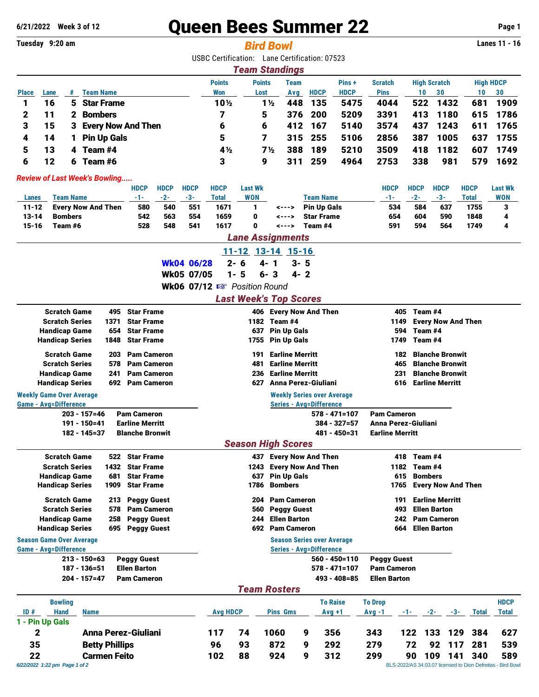# **6/21/2022 Week 3 of 12** Queen Bees Summer 22 **Page 1**

#### **Tuesday 9:20 am** *Bird Bowl* **Lanes 11 - 16**

USBC Certification: Lane Certification: 07523

|                                                                                                 | <b>Team Standings</b> |   |                      |                |      |     |             |             |             |     |      |     |                  |
|-------------------------------------------------------------------------------------------------|-----------------------|---|----------------------|----------------|------|-----|-------------|-------------|-------------|-----|------|-----|------------------|
| <b>Points</b><br><b>High Scratch</b><br><b>Points</b><br>Pins+<br><b>Scratch</b><br><b>Team</b> |                       |   |                      |                |      |     |             |             |             |     |      |     | <b>High HDCP</b> |
| <b>Place</b>                                                                                    | Lane                  | # | <b>Team Name</b>     | Won            | Lost | Avg | <b>HDCP</b> | <b>HDCP</b> | <b>Pins</b> | 10  | 30   | 10  | 30               |
|                                                                                                 | 16                    |   | 5 Star Frame         | 10½            | 1½   | 448 | 135         | 5475        | 4044        | 522 | 1432 | 681 | 1909             |
|                                                                                                 |                       |   | 2 Bombers            |                | 5    | 376 | - 200       | 5209        | 3391        | 413 | 1180 |     | 615 1786         |
| 3                                                                                               | 15                    |   | 3 Every Now And Then | 6              | 6    |     | 412 167     | 5140        | 3574        | 437 | 1243 |     | 611 1765         |
| 4                                                                                               | 14                    |   | <b>Pin Up Gals</b>   | 5              |      |     | 315 255     | 5106        | 2856        | 387 | 1005 | 637 | 1755             |
| 5                                                                                               | 13                    | 4 | Team #4              | $4\frac{1}{2}$ | 7½   | 388 | 189         | 5210        | 3509        | 418 | 1182 | 607 | 1749             |
| 6                                                                                               | 12                    | 6 | Team #6              | 3              | 9    |     | 259         | 4964        | 2753        | 338 | 981  | 579 | 1692             |

#### *Review of Last Week's Bowling.....*

|              |                           | <b>HDCP</b> | <b>HDCP</b> | <b>HDCP</b> | <b>HDCP</b> | Last Wk    |       |                    | <b>HDCP</b> | HDCP  | <b>HDCP</b> | <b>HDCP</b> | <b>Last Wk</b> |
|--------------|---------------------------|-------------|-------------|-------------|-------------|------------|-------|--------------------|-------------|-------|-------------|-------------|----------------|
| <b>Lanes</b> | Team Name                 | $-1-$       | $-2-$       | -3-         | Total       | <b>WON</b> |       | Team Name          | -1-         | $-2-$ | -3-         | Total       | WON            |
| $11 - 12$    | <b>Every Now And Then</b> | 580         | 540         | 551         | 1671        |            | <---> | <b>Pin Up Gals</b> | 534         | 584   | 637         | 1755        |                |
| 13-14        | <b>Bombers</b>            | 542         | 563         | 554         | 1659        | 0          | <---> | <b>Star Frame</b>  | 654         | 604   | 590         | 1848        |                |
| $15 - 16$    | Team #6                   | 528         | 548         | 541         | 1617        | 0<br><---> |       | Team #4            | 591         | 594   | 564         | 1749        |                |
|              | <b>Lane Assignments</b>   |             |             |             |             |            |       |                    |             |       |             |             |                |

## 11-12 13-14 15-16

Wk04 06/28 2- 6 4- 1 3- 5 Wk05 07/05 1- 5 6- 3 4- 2

Wk06 07/12  $\mathbb{R}$  Position Round

#### *Last Week's Top Scores*

| 133<br>384<br>129                                          | 627          |  |  |  |  |  |
|------------------------------------------------------------|--------------|--|--|--|--|--|
|                                                            |              |  |  |  |  |  |
| $-2-$<br><b>Total</b><br>$-3-$                             | <b>Total</b> |  |  |  |  |  |
|                                                            | <b>HDCP</b>  |  |  |  |  |  |
|                                                            |              |  |  |  |  |  |
|                                                            |              |  |  |  |  |  |
| <b>Pam Cameron</b>                                         |              |  |  |  |  |  |
|                                                            |              |  |  |  |  |  |
|                                                            |              |  |  |  |  |  |
|                                                            |              |  |  |  |  |  |
| <b>Ellen Barton</b>                                        |              |  |  |  |  |  |
| <b>Pam Cameron</b>                                         |              |  |  |  |  |  |
| <b>Ellen Barton</b>                                        |              |  |  |  |  |  |
| <b>Earline Merritt</b>                                     |              |  |  |  |  |  |
| <b>Every Now And Then</b>                                  |              |  |  |  |  |  |
| <b>Bombers</b>                                             |              |  |  |  |  |  |
| Team #4<br>1182                                            |              |  |  |  |  |  |
| Team #4                                                    |              |  |  |  |  |  |
|                                                            |              |  |  |  |  |  |
| $384 - 327 = 57$<br>481 - 450=31<br><b>Earline Merritt</b> |              |  |  |  |  |  |
| <b>Anna Perez-Giuliani</b>                                 |              |  |  |  |  |  |
|                                                            |              |  |  |  |  |  |
|                                                            |              |  |  |  |  |  |
| <b>Earline Merritt</b>                                     |              |  |  |  |  |  |
| <b>Blanche Bronwit</b>                                     |              |  |  |  |  |  |
| 465<br><b>Blanche Bronwit</b>                              |              |  |  |  |  |  |
| <b>Blanche Bronwit</b><br>182                              |              |  |  |  |  |  |
| Team #4                                                    |              |  |  |  |  |  |
| Team #4<br>594<br>1749                                     |              |  |  |  |  |  |
| <b>Every Now And Then</b>                                  |              |  |  |  |  |  |
| Team #4                                                    |              |  |  |  |  |  |
|                                                            |              |  |  |  |  |  |

35 Betty Phillips 96 93 872 9 292 279 72 92 117 281 539

**22 Carmen Feito** 102 88 924 9 312 299 90 109 141 340 589 622/2022 1:22 pm Page 1 of 2 *6/22/2022 1:22 pm Page 1 of 2* BLS-2022/AS 34.03.07 licensed to Dion Defreitas - Bird Bowl